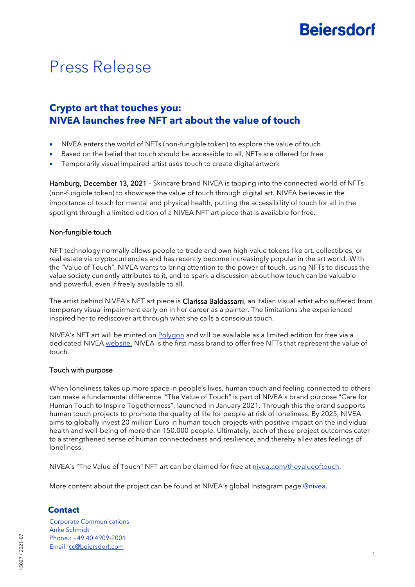# **Beiersdorf**

# Press Release

### **Crypto art that touches you: NIVEA launches free NFT art about the value of touch**

- NIVEA enters the world of NFTs (non-fungible token) to explore the value of touch
- Based on the belief that touch should be accessible to all, NFTs are offered for free
- Temporarily visual impaired artist uses touch to create digital artwork

Hamburg, December 13, 2021 – Skincare brand NIVEA is tapping into the connected world of NFTs (non-fungible token) to showcase the value of touch through digital art. NIVEA believes in the importance of touch for mental and physical health, putting the accessibility of touch for all in the spotlight through a limited edition of a NIVEA NFT art piece that is available for free.

#### Non-fungible touch

NFT technology normally allows people to trade and own high-value tokens like art, collectibles, or real estate via cryptocurrencies and has recently become increasingly popular in the art world. With the "Value of Touch", NIVEA wants to bring attention to the power of touch, using NFTs to discuss the value society currently attributes to it, and to spark a discussion about how touch can be valuable and powerful, even if freely available to all.

The artist behind NIVEA's NFT art piece is Clarissa Baldassarri, an Italian visual artist who suffered from temporary visual impairment early on in her career as a painter. The limitations she experienced inspired her to rediscover art through what she calls a conscious touch.

NIVEA's NFT art will be minted on **Polygon** and will be available as a limited edition for free via a dedicated NIVEA [website.](http://nivea.com/thevalueoftouch) NIVEA is the first mass brand to offer free NFTs that represent the value of touch.

#### Touch with purpose

When loneliness takes up more space in people's lives, human touch and feeling connected to others can make a fundamental difference. "The Value of Touch" is part of NIVEA´s brand purpose "Care for Human Touch to Inspire Togetherness", launched in January 2021. Through this the brand supports human touch projects to promote the quality of life for people at risk of loneliness. By 2025, NIVEA aims to globally invest 20 million Euro in human touch projects with positive impact on the individual health and well-being of more than 150.000 people. Ultimately, each of these project outcomes cater to a strengthened sense of human connectedness and resilience, and thereby alleviates feelings of loneliness.

NIVEA´s "The Value of Touch" NFT art can be claimed for free at [nivea.com/thevalueoftouch.](https://www.nivea.com/thevalueoftouch)

More content about the project can be found at NIVEA's global Instagram page [@nivea.](https://www.instagram.com/nivea/)

### **Contact**

Corporate Communications Anke Schmidt Phone.: +49 40 4909-2001 Email: [cc@beiersdorf.com](mailto:cc@beiersdorf.com)